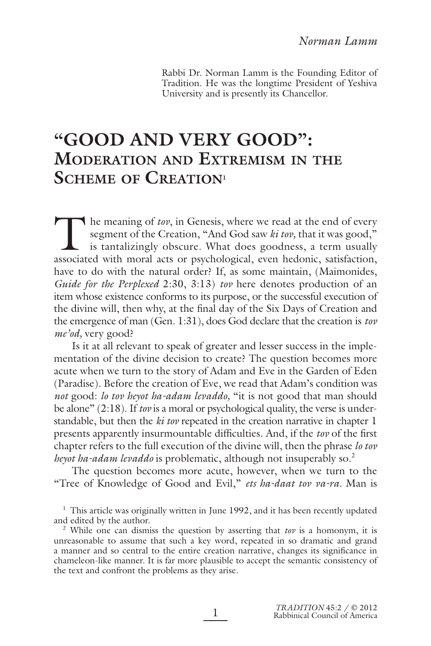Rabbi Dr. Norman Lamm is the Founding Editor of Tradition. He was the longtime President of Yeshiva University and is presently its Chancellor.

# **"GOOD AND VERY GOOD": MODERATION AND EXTREMISM IN THE SCHEME OF CREATION**<sup>1</sup>

The meaning of *tov*, in Genesis, where we read at the end of every segment of the Creation, "And God saw *ki tov*, that it was good," is tantalizingly obscure. What does goodness, a term usually associated with moral acts segment of the Creation, "And God saw *ki tov,* that it was good," is tantalizingly obscure. What does goodness, a term usually associated with moral acts or psychological, even hedonic, satisfaction, have to do with the natural order? If, as some maintain, (Maimonides, *Guide for the Perplexed* 2:30, 3:13) *tov* here denotes production of an item whose existence conforms to its purpose, or the successful execution of the divine will, then why, at the final day of the Six Days of Creation and the emergence of man (Gen. 1:31), does God declare that the creation is *tov me'od,* very good?

Is it at all relevant to speak of greater and lesser success in the implementation of the divine decision to create? The question becomes more acute when we turn to the story of Adam and Eve in the Garden of Eden (Paradise). Before the creation of Eve, we read that Adam's condition was *not* good: *lo tov heyot ha-adam levaddo,* "it is not good that man should be alone" (2:18). If *tov* is a moral or psychological quality, the verse is understandable, but then the *ki tov* repeated in the creation narrative in chapter 1 presents apparently insurmountable difficulties. And, if the *tov* of the first chapter refers to the full execution of the divine will, then the phrase *lo tov heyot ha-adam levaddo* is problematic, although not insuperably so.<sup>2</sup>

The question becomes more acute, however, when we turn to the "Tree of Knowledge of Good and Evil," *ets ha-daat tov va-ra.* Man is

<sup>1</sup> This article was originally written in June 1992, and it has been recently updated and edited by the author.

 While one can dismiss the question by asserting that *tov* is a homonym, it is unreasonable to assume that such a key word, repeated in so dramatic and grand a manner and so central to the entire creation narrative, changes its significance in chameleon-like manner. It is far more plausible to accept the semantic consistency of the text and confront the problems as they arise.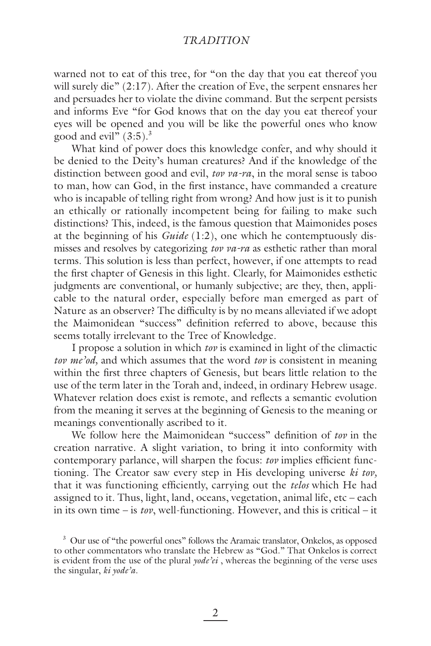warned not to eat of this tree, for "on the day that you eat thereof you will surely die" (2:17). After the creation of Eve, the serpent ensnares her and persuades her to violate the divine command. But the serpent persists and informs Eve "for God knows that on the day you eat thereof your eyes will be opened and you will be like the powerful ones who know good and evil"  $(3:5).$ <sup>3</sup>

What kind of power does this knowledge confer, and why should it be denied to the Deity's human creatures? And if the knowledge of the distinction between good and evil, *tov va-ra*, in the moral sense is taboo to man, how can God, in the first instance, have commanded a creature who is incapable of telling right from wrong? And how just is it to punish an ethically or rationally incompetent being for failing to make such distinctions? This, indeed, is the famous question that Maimonides poses at the beginning of his *Guide* (1:2), one which he contemptuously dismisses and resolves by categorizing *tov va-ra* as esthetic rather than moral terms. This solution is less than perfect, however, if one attempts to read the first chapter of Genesis in this light. Clearly, for Maimonides esthetic judgments are conventional, or humanly subjective; are they, then, applicable to the natural order, especially before man emerged as part of Nature as an observer? The difficulty is by no means alleviated if we adopt the Maimonidean "success" definition referred to above, because this seems totally irrelevant to the Tree of Knowledge.

I propose a solution in which *tov* is examined in light of the climactic *tov me'od,* and which assumes that the word *tov* is consistent in meaning within the first three chapters of Genesis, but bears little relation to the use of the term later in the Torah and, indeed, in ordinary Hebrew usage. Whatever relation does exist is remote, and reflects a semantic evolution from the meaning it serves at the beginning of Genesis to the meaning or meanings conventionally ascribed to it.

We follow here the Maimonidean "success" definition of *tov* in the creation narrative. A slight variation, to bring it into conformity with contemporary parlance, will sharpen the focus: *tov* implies efficient functioning. The Creator saw every step in His developing universe *ki tov,*  that it was functioning efficiently, carrying out the *telos* which He had assigned to it. Thus, light, land, oceans, vegetation, animal life, etc – each in its own time – is *tov*, well-functioning. However, and this is critical – it

<sup>3</sup> Our use of "the powerful ones" follows the Aramaic translator, Onkelos, as opposed to other commentators who translate the Hebrew as "God." That Onkelos is correct is evident from the use of the plural *yode'ei* , whereas the beginning of the verse uses the singular, *ki yode'a.*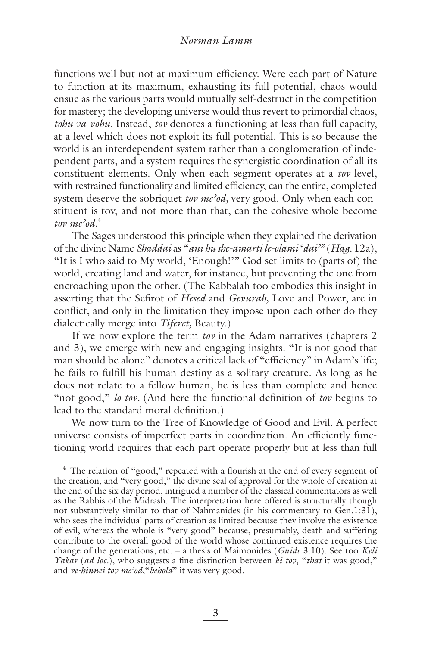functions well but not at maximum efficiency. Were each part of Nature to function at its maximum, exhausting its full potential, chaos would ensue as the various parts would mutually self-destruct in the competition for mastery; the developing universe would thus revert to primordial chaos, *tohu va-vohu.* Instead, *tov* denotes a functioning at less than full capacity, at a level which does not exploit its full potential. This is so because the world is an interdependent system rather than a conglomeration of independent parts, and a system requires the synergistic coordination of all its constituent elements. Only when each segment operates at a *tov* level, with restrained functionality and limited efficiency, can the entire, completed system deserve the sobriquet *tov me'od,* very good. Only when each constituent is tov, and not more than that, can the cohesive whole become *tov me'od.*<sup>4</sup>

The Sages understood this principle when they explained the derivation of the divine Name *Shaddai* as "*ani hu she-amarti le-olami* '*dai'"* (*Hag.* 12a), "It is I who said to My world, 'Enough!'" God set limits to (parts of) the world, creating land and water, for instance, but preventing the one from encroaching upon the other. (The Kabbalah too embodies this insight in asserting that the Sefirot of *Hesed* and *Gevurah*, Love and Power, are in conflict, and only in the limitation they impose upon each other do they dialectically merge into *Tiferet,* Beauty.)

If we now explore the term *tov* in the Adam narratives (chapters 2 and 3), we emerge with new and engaging insights. "It is not good that man should be alone" denotes a critical lack of "efficiency" in Adam's life; he fails to fulfill his human destiny as a solitary creature. As long as he does not relate to a fellow human, he is less than complete and hence "not good," *lo tov.* (And here the functional definition of *tov* begins to lead to the standard moral definition.)

We now turn to the Tree of Knowledge of Good and Evil. A perfect universe consists of imperfect parts in coordination. An efficiently functioning world requires that each part operate properly but at less than full

<sup>4</sup> The relation of "good," repeated with a flourish at the end of every segment of the creation, and "very good," the divine seal of approval for the whole of creation at the end of the six day period, intrigued a number of the classical commentators as well as the Rabbis of the Midrash. The interpretation here offered is structurally though not substantively similar to that of Nahmanides (in his commentary to Gen.1:31), who sees the individual parts of creation as limited because they involve the existence of evil, whereas the whole is "very good" because, presumably, death and suffering contribute to the overall good of the world whose continued existence requires the change of the generations, etc. – a thesis of Maimonides (*Guide* 3:10). See too *Keli Yakar (ad loc.)*, who suggests a fine distinction between *ki tov*, "*that* it was good," and *ve-hinnei tov me'od*,"*behold*" it was very good.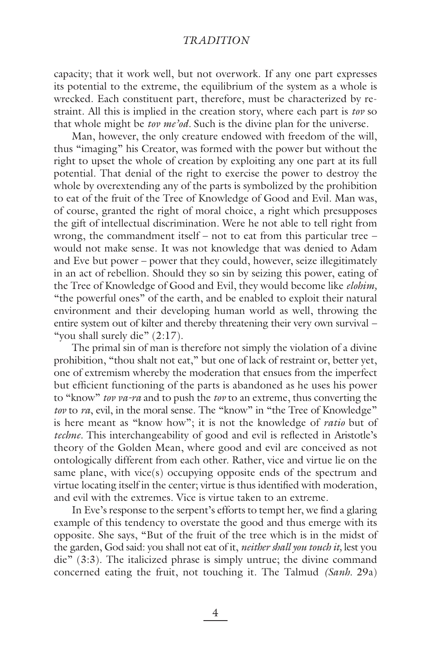capacity; that it work well, but not overwork. If any one part expresses its potential to the extreme, the equilibrium of the system as a whole is wrecked. Each constituent part, therefore, must be characterized by restraint. All this is implied in the creation story, where each part is *tov* so that whole might be *tov me'od.* Such is the divine plan for the universe.

Man, however, the only creature endowed with freedom of the will, thus "imaging" his Creator, was formed with the power but without the right to upset the whole of creation by exploiting any one part at its full potential. That denial of the right to exercise the power to destroy the whole by overextending any of the parts is symbolized by the prohibition to eat of the fruit of the Tree of Knowledge of Good and Evil. Man was, of course, granted the right of moral choice, a right which presupposes the gift of intellectual discrimination. Were he not able to tell right from wrong, the commandment itself – not to eat from this particular tree – would not make sense. It was not knowledge that was denied to Adam and Eve but power – power that they could, however, seize illegitimately in an act of rebellion. Should they so sin by seizing this power, eating of the Tree of Knowledge of Good and Evil, they would become like *elohim,*  "the powerful ones" of the earth, and be enabled to exploit their natural environment and their developing human world as well, throwing the entire system out of kilter and thereby threatening their very own survival – "you shall surely die" (2:17).

The primal sin of man is therefore not simply the violation of a divine prohibition, "thou shalt not eat," but one of lack of restraint or, better yet, one of extremism whereby the moderation that ensues from the imperfect but efficient functioning of the parts is abandoned as he uses his power to "know" *tov va-ra* and to push the *tov* to an extreme, thus converting the *tov* to *ra*, evil, in the moral sense. The "know" in "the Tree of Knowledge" is here meant as "know how"; it is not the knowledge of *ratio* but of *techne*. This interchangeability of good and evil is reflected in Aristotle's theory of the Golden Mean, where good and evil are conceived as not ontologically different from each other. Rather, vice and virtue lie on the same plane, with vice(s) occupying opposite ends of the spectrum and virtue locating itself in the center; virtue is thus identified with moderation, and evil with the extremes. Vice is virtue taken to an extreme.

In Eve's response to the serpent's efforts to tempt her, we find a glaring example of this tendency to overstate the good and thus emerge with its opposite. She says, "But of the fruit of the tree which is in the midst of the garden, God said: you shall not eat of it, *neither shall you touch it,* lest you die" (3:3). The italicized phrase is simply untrue; the divine command concerned eating the fruit, not touching it. The Talmud *(Sanh.* 29a)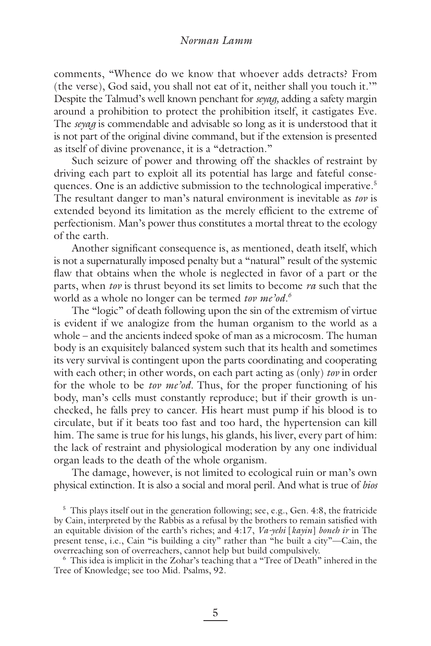#### *Norman Lamm*

comments, "Whence do we know that whoever adds detracts? From (the verse), God said, you shall not eat of it, neither shall you touch it.'" Despite the Talmud's well known penchant for *seyag,* adding a safety margin around a prohibition to protect the prohibition itself, it castigates Eve. The *seyag* is commendable and advisable so long as it is understood that it is not part of the original divine command, but if the extension is presented as itself of divine provenance, it is a "detraction."

Such seizure of power and throwing off the shackles of restraint by driving each part to exploit all its potential has large and fateful consequences. One is an addictive submission to the technological imperative.<sup>5</sup> The resultant danger to man's natural environment is inevitable as *tov* is extended beyond its limitation as the merely efficient to the extreme of perfectionism. Man's power thus constitutes a mortal threat to the ecology of the earth.

Another significant consequence is, as mentioned, death itself, which is not a supernaturally imposed penalty but a "natural" result of the systemic flaw that obtains when the whole is neglected in favor of a part or the parts, when *tov* is thrust beyond its set limits to become *ra* such that the world as a whole no longer can be termed *tov me'od.<sup>6</sup>*

The "logic" of death following upon the sin of the extremism of virtue is evident if we analogize from the human organism to the world as a whole – and the ancients indeed spoke of man as a microcosm. The human body is an exquisitely balanced system such that its health and sometimes its very survival is contingent upon the parts coordinating and cooperating with each other; in other words, on each part acting as (only) *tov* in order for the whole to be *tov me'od.* Thus, for the proper functioning of his body, man's cells must constantly reproduce; but if their growth is unchecked, he falls prey to cancer. His heart must pump if his blood is to circulate, but if it beats too fast and too hard, the hypertension can kill him. The same is true for his lungs, his glands, his liver, every part of him: the lack of restraint and physiological moderation by any one individual organ leads to the death of the whole organism.

The damage, however, is not limited to ecological ruin or man's own physical extinction. It is also a social and moral peril. And what is true of *bios* 

<sup>5</sup> This plays itself out in the generation following; see, e.g., Gen. 4:8, the fratricide by Cain, interpreted by the Rabbis as a refusal by the brothers to remain satisfied with an equitable division of the earth's riches; and 4:17, *Va-yehi* [*kayin*] *boneh ir* in The present tense, i.e., Cain "is building a city" rather than "he built a city"—Cain, the overreaching son of overreachers, cannot help but build compulsively.

6 This idea is implicit in the Zohar's teaching that a "Tree of Death" inhered in the Tree of Knowledge; see too Mid. Psalms, 92.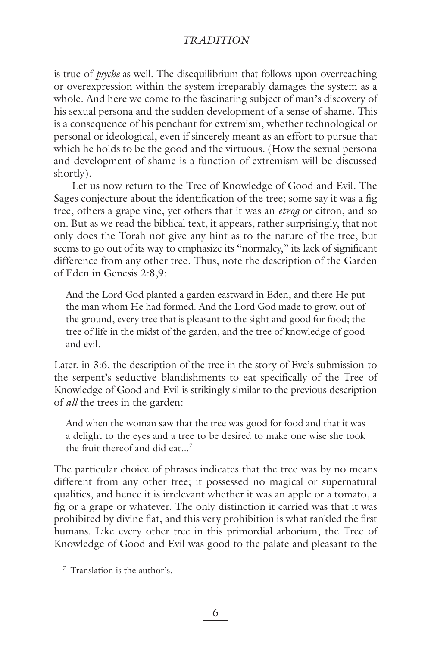is true of *psyche* as well. The disequilibrium that follows upon overreaching or overexpression within the system irreparably damages the system as a whole. And here we come to the fascinating subject of man's discovery of his sexual persona and the sudden development of a sense of shame. This is a consequence of his penchant for extremism, whether technological or personal or ideological, even if sincerely meant as an effort to pursue that which he holds to be the good and the virtuous. (How the sexual persona and development of shame is a function of extremism will be discussed shortly).

Let us now return to the Tree of Knowledge of Good and Evil. The Sages conjecture about the identification of the tree; some say it was a fig tree, others a grape vine, yet others that it was an *etrog* or citron, and so on. But as we read the biblical text, it appears, rather surprisingly, that not only does the Torah not give any hint as to the nature of the tree, but seems to go out of its way to emphasize its "normalcy," its lack of significant difference from any other tree. Thus, note the description of the Garden of Eden in Genesis 2:8,9:

And the Lord God planted a garden eastward in Eden, and there He put the man whom He had formed. And the Lord God made to grow, out of the ground, every tree that is pleasant to the sight and good for food; the tree of life in the midst of the garden, and the tree of knowledge of good and evil.

Later, in 3:6, the description of the tree in the story of Eve's submission to the serpent's seductive blandishments to eat specifically of the Tree of Knowledge of Good and Evil is strikingly similar to the previous description of *all* the trees in the garden:

And when the woman saw that the tree was good for food and that it was a delight to the eyes and a tree to be desired to make one wise she took the fruit thereof and did eat...<sup>7</sup>

The particular choice of phrases indicates that the tree was by no means different from any other tree; it possessed no magical or supernatural qualities, and hence it is irrelevant whether it was an apple or a tomato, a fig or a grape or whatever. The only distinction it carried was that it was prohibited by divine fiat, and this very prohibition is what rankled the first humans. Like every other tree in this primordial arborium, the Tree of Knowledge of Good and Evil was good to the palate and pleasant to the

<sup>7</sup> Translation is the author's.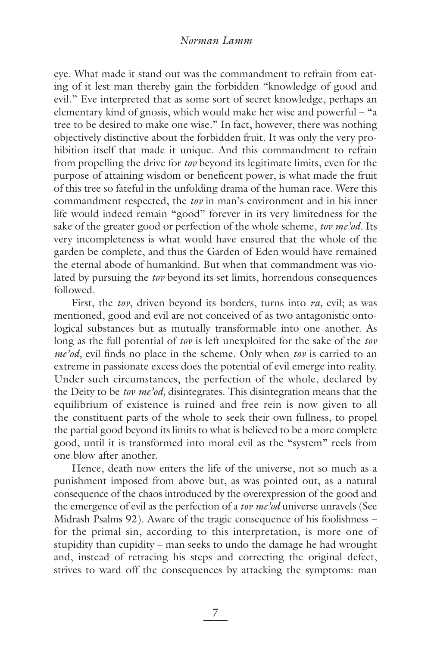### *Norman Lamm*

eye. What made it stand out was the commandment to refrain from eating of it lest man thereby gain the forbidden "knowledge of good and evil." Eve interpreted that as some sort of secret knowledge, perhaps an elementary kind of gnosis, which would make her wise and powerful – "a tree to be desired to make one wise." In fact, however, there was nothing objectively distinctive about the forbidden fruit. It was only the very prohibition itself that made it unique. And this commandment to refrain from propelling the drive for *tov* beyond its legitimate limits, even for the purpose of attaining wisdom or beneficent power, is what made the fruit of this tree so fateful in the unfolding drama of the human race. Were this commandment respected, the *tov* in man's environment and in his inner life would indeed remain "good" forever in its very limitedness for the sake of the greater good or perfection of the whole scheme, *tov me'od.* Its very incompleteness is what would have ensured that the whole of the garden be complete, and thus the Garden of Eden would have remained the eternal abode of humankind. But when that commandment was violated by pursuing the *tov* beyond its set limits, horrendous consequences followed.

First, the *tov*, driven beyond its borders, turns into *ra,* evil; as was mentioned, good and evil are not conceived of as two antagonistic ontological substances but as mutually transformable into one another. As long as the full potential of *tov* is left unexploited for the sake of the *tov me'od*, evil finds no place in the scheme. Only when *tov* is carried to an extreme in passionate excess does the potential of evil emerge into reality. Under such circumstances, the perfection of the whole, declared by the Deity to be *tov me'od,* disintegrates. This disintegration means that the equilibrium of existence is ruined and free rein is now given to all the constituent parts of the whole to seek their own fullness, to propel the partial good beyond its limits to what is believed to be a more complete good, until it is transformed into moral evil as the "system" reels from one blow after another.

Hence, death now enters the life of the universe, not so much as a punishment imposed from above but, as was pointed out, as a natural consequence of the chaos introduced by the overexpression of the good and the emergence of evil as the perfection of a *tov me'od* universe unravels (See Midrash Psalms 92). Aware of the tragic consequence of his foolishness – for the primal sin, according to this interpretation, is more one of stupidity than cupidity – man seeks to undo the damage he had wrought and, instead of retracing his steps and correcting the original defect, strives to ward off the consequences by attacking the symptoms: man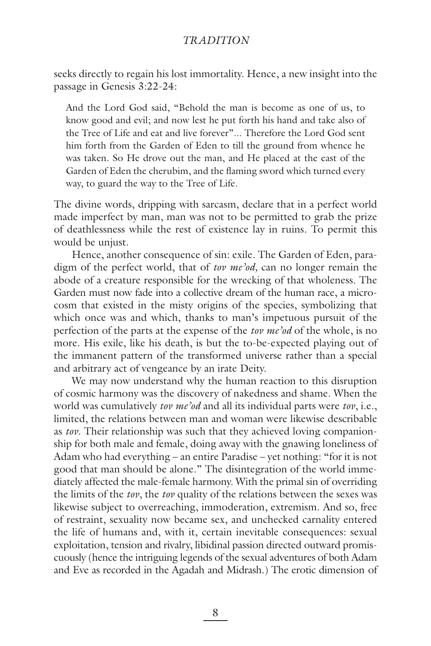seeks directly to regain his lost immortality. Hence, a new insight into the passage in Genesis 3:22-24:

And the Lord God said, "Behold the man is become as one of us, to know good and evil; and now lest he put forth his hand and take also of the Tree of Life and eat and live forever"... Therefore the Lord God sent him forth from the Garden of Eden to till the ground from whence he was taken. So He drove out the man, and He placed at the east of the Garden of Eden the cherubim, and the flaming sword which turned every way, to guard the way to the Tree of Life.

The divine words, dripping with sarcasm, declare that in a perfect world made imperfect by man, man was not to be permitted to grab the prize of deathlessness while the rest of existence lay in ruins. To permit this would be unjust.

Hence, another consequence of sin: exile. The Garden of Eden, paradigm of the perfect world, that of *tov me'od,* can no longer remain the abode of a creature responsible for the wrecking of that wholeness. The Garden must now fade into a collective dream of the human race, a microcosm that existed in the misty origins of the species, symbolizing that which once was and which, thanks to man's impetuous pursuit of the perfection of the parts at the expense of the *tov me'od* of the whole, is no more. His exile, like his death, is but the to-be-expected playing out of the immanent pattern of the transformed universe rather than a special and arbitrary act of vengeance by an irate Deity.

We may now understand why the human reaction to this disruption of cosmic harmony was the discovery of nakedness and shame. When the world was cumulatively *tov me'od* and all its individual parts were *tov*, i.e., limited, the relations between man and woman were likewise describable as *tov*. Their relationship was such that they achieved loving companionship for both male and female, doing away with the gnawing loneliness of Adam who had everything – an entire Paradise – yet nothing: "for it is not good that man should be alone." The disintegration of the world immediately affected the male-female harmony. With the primal sin of overriding the limits of the *tov*, the *tov* quality of the relations between the sexes was likewise subject to overreaching, immoderation, extremism. And so, free of restraint, sexuality now became sex, and unchecked carnality entered the life of humans and, with it, certain inevitable consequences: sexual exploitation, tension and rivalry, libidinal passion directed outward promiscuously (hence the intriguing legends of the sexual adventures of both Adam and Eve as recorded in the Agadah and Midrash.) The erotic dimension of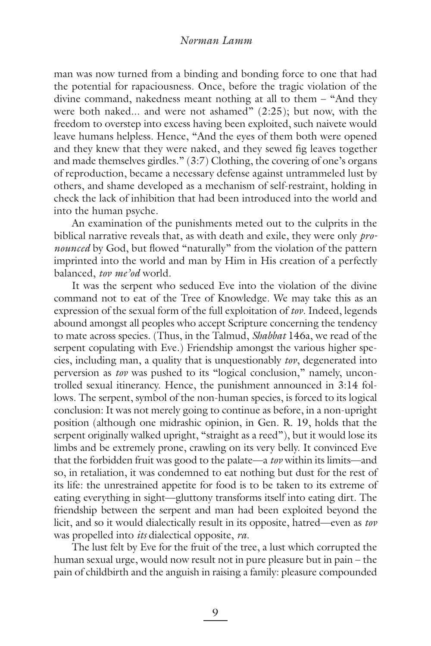### *Norman Lamm*

man was now turned from a binding and bonding force to one that had the potential for rapaciousness. Once, before the tragic violation of the divine command, nakedness meant nothing at all to them – "And they were both naked... and were not ashamed" (2:25); but now, with the freedom to overstep into excess having been exploited, such naivete would leave humans helpless. Hence, "And the eyes of them both were opened and they knew that they were naked, and they sewed fig leaves together and made themselves girdles." (3:7) Clothing, the covering of one's organs of reproduction, became a necessary defense against untrammeled lust by others, and shame developed as a mechanism of self-restraint, holding in check the lack of inhibition that had been introduced into the world and into the human psyche.

An examination of the punishments meted out to the culprits in the biblical narrative reveals that, as with death and exile, they were only *pronounced* by God, but flowed "naturally" from the violation of the pattern imprinted into the world and man by Him in His creation of a perfectly balanced, *tov me'od* world.

It was the serpent who seduced Eve into the violation of the divine command not to eat of the Tree of Knowledge. We may take this as an expression of the sexual form of the full exploitation of *tov*. Indeed, legends abound amongst all peoples who accept Scripture concerning the tendency to mate across species. (Thus, in the Talmud, *Shabbat* 146a, we read of the serpent copulating with Eve.) Friendship amongst the various higher species, including man, a quality that is unquestionably *tov*, degenerated into perversion as *tov* was pushed to its "logical conclusion," namely, uncontrolled sexual itinerancy. Hence, the punishment announced in 3:14 follows. The serpent, symbol of the non-human species, is forced to its logical conclusion: It was not merely going to continue as before, in a non-upright position (although one midrashic opinion, in Gen. R. 19, holds that the serpent originally walked upright, "straight as a reed"), but it would lose its limbs and be extremely prone, crawling on its very belly. It convinced Eve that the forbidden fruit was good to the palate—a *tov* within its limits—and so, in retaliation, it was condemned to eat nothing but dust for the rest of its life: the unrestrained appetite for food is to be taken to its extreme of eating everything in sight—gluttony transforms itself into eating dirt. The friendship between the serpent and man had been exploited beyond the licit, and so it would dialectically result in its opposite, hatred—even as *tov* was propelled into *its* dialectical opposite, *ra*.

The lust felt by Eve for the fruit of the tree, a lust which corrupted the human sexual urge, would now result not in pure pleasure but in pain – the pain of childbirth and the anguish in raising a family: pleasure compounded